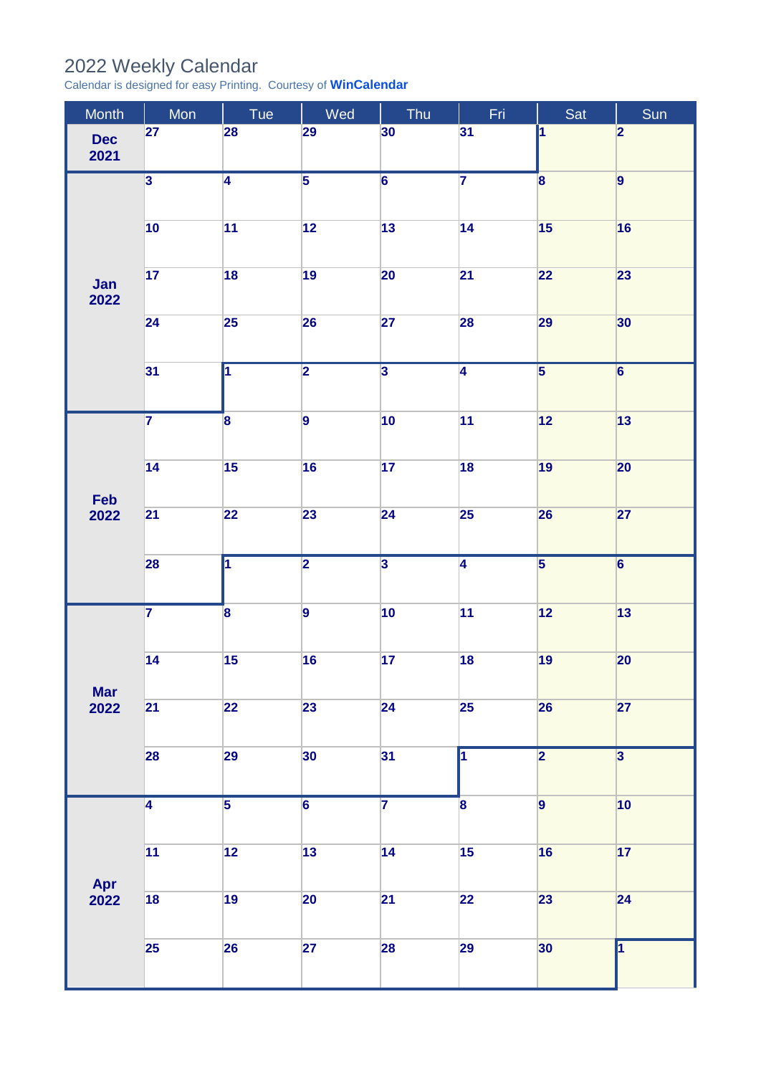## 2022 Weekly Calendar

Calendar is designed for easy Printing. Courtesy of **[WinCalendar](https://www.wincalendar.com/UK/2022-Word-Calendar)**

| Month              | Mon                     | Tue                     | Wed            | Thu                     | Fri                     | Sat                     | Sun                     |
|--------------------|-------------------------|-------------------------|----------------|-------------------------|-------------------------|-------------------------|-------------------------|
| <b>Dec</b><br>2021 | 27                      | 28                      | 29             | 30                      | 31                      | $\overline{\mathbf{1}}$ | $\overline{2}$          |
| Jan<br>2022        | $\overline{\mathbf{3}}$ | $\overline{4}$          | $\overline{5}$ | $\overline{6}$          | $\overline{7}$          | $\overline{\mathbf{8}}$ | $\vert$ 9               |
|                    | 10                      | 11                      | 12             | 13                      | 14                      | 15                      | 16                      |
|                    | 17                      | 18                      | 19             | 20                      | 21                      | 22                      | 23                      |
|                    | 24                      | 25                      | 26             | 27                      | 28                      | 29                      | 30                      |
|                    | 31                      | $\overline{\mathbf{1}}$ | $\overline{2}$ | $\overline{\mathbf{3}}$ | $\overline{4}$          | $\overline{\mathbf{5}}$ | $\overline{\mathbf{6}}$ |
| Feb<br>2022        | $\overline{\mathbf{7}}$ | $\overline{\mathbf{8}}$ | $\vert$ 9      | 10                      | 11                      | $12$                    | $\boxed{13}$            |
|                    | 14                      | 15                      | 16             | 17                      | 18                      | 19                      | 20                      |
|                    | 21                      | 22                      | 23             | 24                      | 25                      | 26                      | 27                      |
|                    | 28                      | $\overline{\mathbf{1}}$ | $\overline{2}$ | $\overline{\mathbf{3}}$ | $\overline{4}$          | $\overline{\mathbf{5}}$ | $\overline{6}$          |
| <b>Mar</b><br>2022 | $\overline{\mathbf{7}}$ | $\mathbf{8}$            | $\vert$ 9      | 10                      | 11                      | $\boxed{12}$            | $\boxed{13}$            |
|                    | 14                      | 15                      | 16             | 17                      | 18                      | 19                      | 20                      |
|                    | 21                      | 22                      | 23             | 24                      | $25\overline{)}$        | 26                      | 27                      |
|                    | 28                      | 29                      | 30             | 31                      | $\overline{\mathbf{1}}$ | $\overline{2}$          | $\overline{\mathbf{3}}$ |
| Apr<br>2022        | $\overline{4}$          | $\overline{5}$          | $\overline{6}$ | $\overline{\mathbf{7}}$ | $\overline{\mathbf{8}}$ | $\overline{9}$          | 10                      |
|                    | 11                      | 12                      | 13             | 14                      | 15                      | 16                      | 17                      |
|                    | 18                      | 19                      | 20             | 21                      | 22                      | 23                      | 24                      |
|                    | 25                      | 26                      | 27             | 28                      | 29                      | 30                      | $\overline{\mathbf{1}}$ |
|                    |                         |                         |                |                         |                         |                         |                         |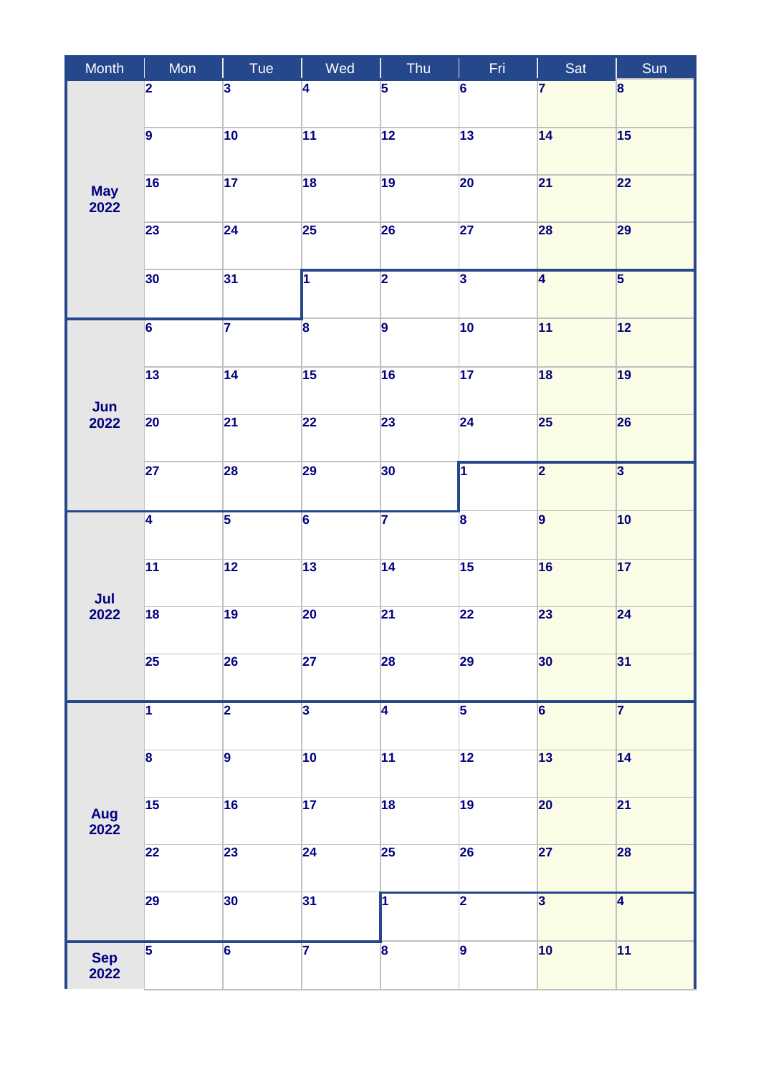| Month              | Mon                     | Tue                     | Wed                     | Thu                     | Fri                     | Sat                     | Sun                     |
|--------------------|-------------------------|-------------------------|-------------------------|-------------------------|-------------------------|-------------------------|-------------------------|
| <b>May</b><br>2022 | $\overline{\mathbf{2}}$ | $\overline{\mathbf{3}}$ | 4                       | $\overline{\mathbf{5}}$ | $\overline{6}$          | $\overline{7}$          | 8                       |
|                    | $\overline{9}$          | 10                      | 11                      | 12                      | 13                      | 14                      | 15                      |
|                    | 16                      | 17                      | 18                      | 19                      | $20\overline{)}$        | 21                      | 22                      |
|                    | 23                      | 24                      | 25                      | 26                      | 27                      | 28                      | 29                      |
|                    | 30                      | 31                      | $\overline{1}$          | $\overline{2}$          | $\overline{\mathbf{3}}$ | $\overline{4}$          | $\overline{\mathbf{5}}$ |
| Jun<br>2022        | $\overline{6}$          | $\overline{\mathbf{7}}$ | $\overline{\mathbf{8}}$ | $\vert$ 9               | 10                      | 11                      | $\boxed{12}$            |
|                    | 13                      | 14                      | 15                      | 16                      | 17                      | 18                      | 19                      |
|                    | 20                      | $\overline{21}$         | 22                      | 23                      | 24                      | 25                      | 26                      |
|                    | 27                      | 28                      | 29                      | 30                      | $\overline{\mathbf{1}}$ | $\overline{\mathbf{2}}$ | $\overline{\mathbf{3}}$ |
| Jul<br>2022        | $\overline{4}$          | $\overline{\mathbf{5}}$ | $\overline{6}$          | $\overline{7}$          | $\overline{\mathbf{8}}$ | $\vert$ 9               | 10                      |
|                    | 11                      | 12                      | $\overline{13}$         | 14                      | 15                      | 16                      | 17                      |
|                    | 18                      | 19                      | 20                      | 21                      | 22                      | 23                      | 24                      |
|                    | 25                      | 26                      | 27                      | 28                      | 29                      | 30                      | 31                      |
| Aug<br>2022        | $\overline{1}$          | $\overline{\mathbf{2}}$ | $\overline{3}$          | $\overline{4}$          | $\overline{5}$          | $\overline{\mathbf{6}}$ | $\overline{7}$          |
|                    | $\overline{\mathbf{8}}$ | $\overline{9}$          | 10                      | 11                      | $\overline{12}$         | 13                      | 14                      |
|                    | 15                      | 16                      | 17                      | 18                      | 19                      | 20                      | 21                      |
|                    | 22                      | 23                      | 24                      | 25                      | 26                      | 27                      | 28                      |
|                    | 29                      | 30                      | 31                      | <b>T</b>                | $\overline{\mathbf{2}}$ | $\overline{\mathbf{3}}$ | $\overline{4}$          |
| <b>Sep</b><br>2022 | $\overline{\mathbf{5}}$ | $\overline{6}$          | $\overline{\mathbf{7}}$ | $\overline{\mathbf{8}}$ | $\overline{9}$          | 10                      | 11                      |